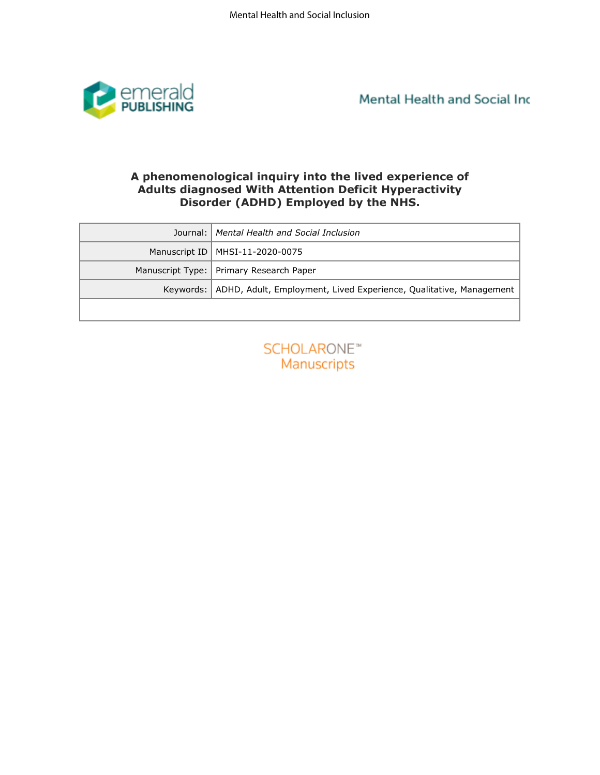

Mental Health and Social Inc

# A phenomenological inquiry into the lived experience of<br>Adults diagnosed With Attention Deficit Hyperactivity **Disorder (ADHD) Employed by the NHS.**

| <b>PUBLISHING</b> |                                                                                                                                                                 |
|-------------------|-----------------------------------------------------------------------------------------------------------------------------------------------------------------|
|                   | A phenomenological inquiry into the lived experience of<br><b>Adults diagnosed With Attention Deficit Hyperactivity</b><br>Disorder (ADHD) Employed by the NHS. |
| Journal:          | Mental Health and Social Inclusion                                                                                                                              |
| Manuscript ID     | MHSI-11-2020-0075                                                                                                                                               |
| Manuscript Type:  | Primary Research Paper                                                                                                                                          |
| Keywords:         | ADHD, Adult, Employment, Lived Experience, Qualitative, Management                                                                                              |
|                   |                                                                                                                                                                 |
|                   | <b>SCHOLARONE™</b><br>Manuscripts                                                                                                                               |

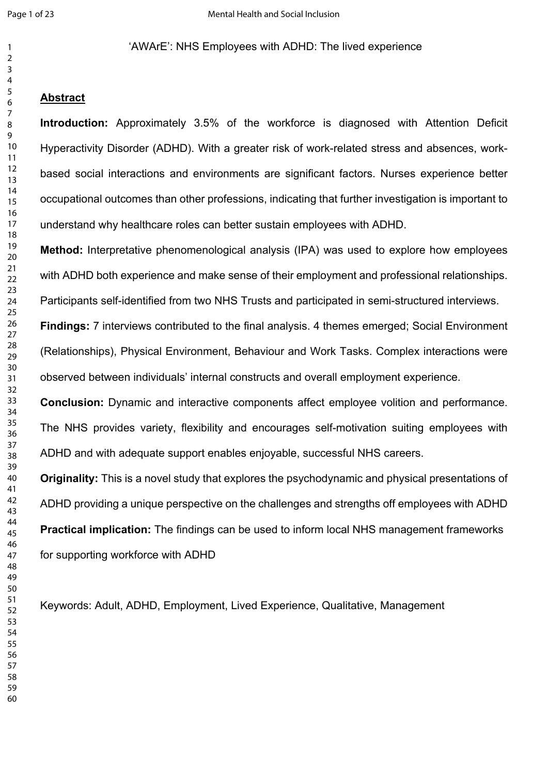### 'AWArE': NHS Employees with ADHD: The lived experience

### **Abstract**

ction: Approximately 3.5% of the workforce is diagnosed with Attentio<br>tivity Disorder (ADHD). With a greater risk of work-related stress and absence<br>civity Disorder (ADHD). With a greater risk of work-related stress and ab **Introduction:** Approximately 3.5% of the workforce is diagnosed with Attention Deficit Hyperactivity Disorder (ADHD). With a greater risk of work-related stress and absences, workbased social interactions and environments are significant factors. Nurses experience better occupational outcomes than other professions, indicating that further investigation is important to understand why healthcare roles can better sustain employees with ADHD.

**Method:** Interpretative phenomenological analysis (IPA) was used to explore how employees with ADHD both experience and make sense of their employment and professional relationships.

Participants self-identified from two NHS Trusts and participated in semi-structured interviews.

**Findings:** 7 interviews contributed to the final analysis. 4 themes emerged; Social Environment (Relationships), Physical Environment, Behaviour and Work Tasks. Complex interactions were observed between individuals' internal constructs and overall employment experience.

**Conclusion:** Dynamic and interactive components affect employee volition and performance. The NHS provides variety, flexibility and encourages self-motivation suiting employees with ADHD and with adequate support enables enjoyable, successful NHS careers.

**Originality:** This is a novel study that explores the psychodynamic and physical presentations of ADHD providing a unique perspective on the challenges and strengths off employees with ADHD **Practical implication:** The findings can be used to inform local NHS management frameworks for supporting workforce with ADHD

Keywords: Adult, ADHD, Employment, Lived Experience, Qualitative, Management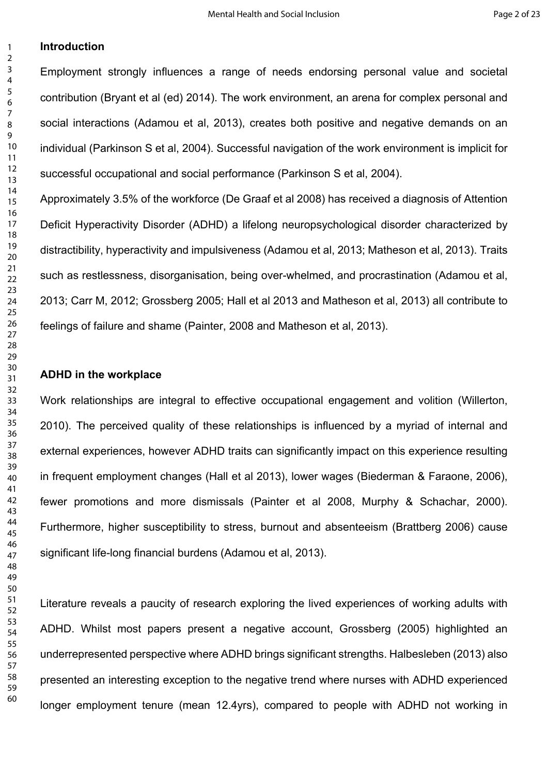### **Introduction**

Employment strongly influences a range of needs endorsing personal value and societal contribution (Bryant et al (ed) 2014). The work environment, an arena for complex personal and social interactions (Adamou et al, 2013), creates both positive and negative demands on an individual (Parkinson S et al, 2004). Successful navigation of the work environment is implicit for successful occupational and social performance (Parkinson S et al, 2004).

Approximately 3.5% of the workforce (De Graaf et al 2008) has received a diagnosis of Attention Deficit Hyperactivity Disorder (ADHD) a lifelong neuropsychological disorder characterized by distractibility, hyperactivity and impulsiveness (Adamou et al, 2013; Matheson et al, 2013). Traits such as restlessness, disorganisation, being over-whelmed, and procrastination (Adamou et al, 2013; Carr M, 2012; Grossberg 2005; Hall et al 2013 and Matheson et al, 2013) all contribute to feelings of failure and shame (Painter, 2008 and Matheson et al, 2013).

#### **ADHD in the workplace**

nteractions (Adamou et al. 2013), creates both positive and negative demannel (Parkinson S et al. 2004). Successful navigation of the work environment is inful occupational and social performance (Parkinson S et al. 2004). Work relationships are integral to effective occupational engagement and volition (Willerton, 2010). The perceived quality of these relationships is influenced by a myriad of internal and external experiences, however ADHD traits can significantly impact on this experience resulting in frequent employment changes (Hall et al 2013), lower wages (Biederman & Faraone, 2006), fewer promotions and more dismissals (Painter et al 2008, Murphy & Schachar, 2000). Furthermore, higher susceptibility to stress, burnout and absenteeism (Brattberg 2006) cause significant life-long financial burdens (Adamou et al, 2013).

Literature reveals a paucity of research exploring the lived experiences of working adults with ADHD. Whilst most papers present a negative account, Grossberg (2005) highlighted an underrepresented perspective where ADHD brings significant strengths. Halbesleben (2013) also presented an interesting exception to the negative trend where nurses with ADHD experienced longer employment tenure (mean 12.4yrs), compared to people with ADHD not working in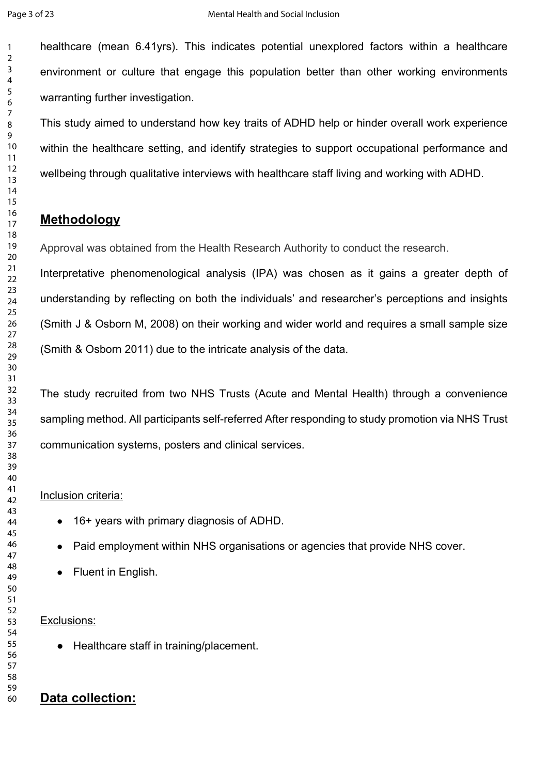healthcare (mean 6.41yrs). This indicates potential unexplored factors within a healthcare environment or culture that engage this population better than other working environments warranting further investigation.

This study aimed to understand how key traits of ADHD help or hinder overall work experience within the healthcare setting, and identify strategies to support occupational performance and wellbeing through qualitative interviews with healthcare staff living and working with ADHD.

# **Methodology**

Approval was obtained from the Health Research Authority to conduct the research.

idy aimed to understand how key traits of ADHD help or hinder overall work exeremented through qualitative interviews with healthcare staff living and working with AD<br>though qualitative interviews with healthcare staff liv Interpretative phenomenological analysis (IPA) was chosen as it gains a greater depth of understanding by reflecting on both the individuals' and researcher's perceptions and insights (Smith J & Osborn M, 2008) on their working and wider world and requires a small sample size (Smith & Osborn 2011) due to the intricate analysis of the data.

The study recruited from two NHS Trusts (Acute and Mental Health) through a convenience sampling method. All participants self-referred After responding to study promotion via NHS Trust communication systems, posters and clinical services.

### Inclusion criteria:

- 16+ years with primary diagnosis of ADHD.
- Paid employment within NHS organisations or agencies that provide NHS cover.
- Fluent in English.

### Exclusions:

● Healthcare staff in training/placement.

# **Data collection:**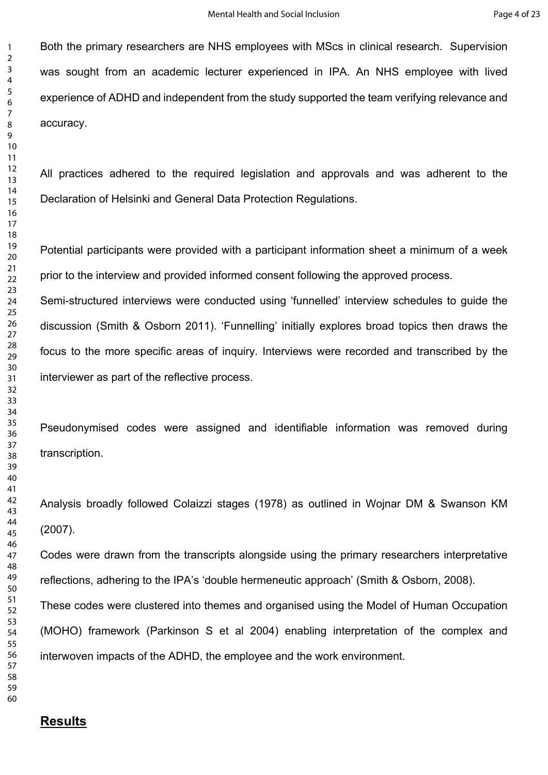Both the primary researchers are NHS employees with MScs in clinical research. Supervision was sought from an academic lecturer experienced in IPA. An NHS employee with lived experience of ADHD and independent from the study supported the team verifying relevance and accuracy.

All practices adhered to the required legislation and approvals and was adherent to the Declaration of Helsinki and General Data Protection Regulations.

Potential participants were provided with a participant information sheet a minimum of a week prior to the interview and provided informed consent following the approved process.

by.<br>
Societies adhered to the required legislation and approvals and was adherer<br>
tion of Helsinki and General Data Protection Regulations.<br>
All participants were provided with a participant information sheet a minimum of<br> Semi-structured interviews were conducted using 'funnelled' interview schedules to guide the discussion (Smith & Osborn 2011). 'Funnelling' initially explores broad topics then draws the focus to the more specific areas of inquiry. Interviews were recorded and transcribed by the interviewer as part of the reflective process.

Pseudonymised codes were assigned and identifiable information was removed during transcription.

Analysis broadly followed Colaizzi stages (1978) as outlined in Wojnar DM & Swanson KM (2007).

Codes were drawn from the transcripts alongside using the primary researchers interpretative reflections, adhering to the IPA's 'double hermeneutic approach' (Smith & Osborn, 2008).

These codes were clustered into themes and organised using the Model of Human Occupation (MOHO) framework (Parkinson S et al 2004) enabling interpretation of the complex and interwoven impacts of the ADHD, the employee and the work environment.

## **Results**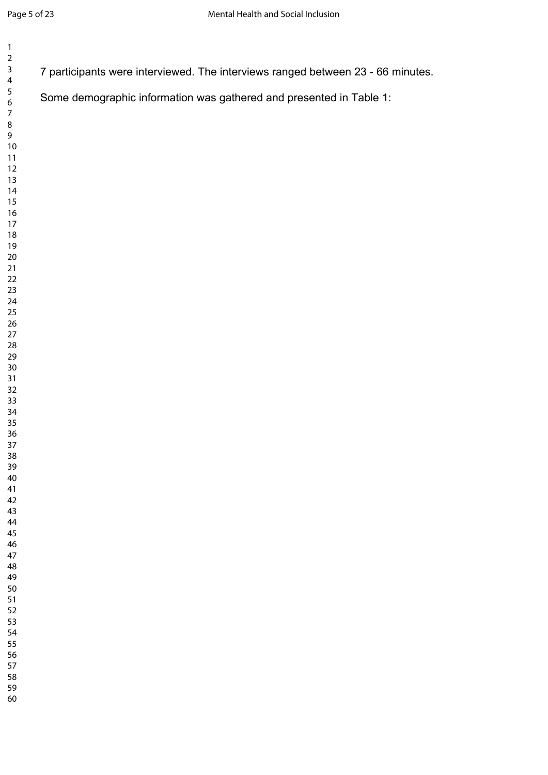| $\mathbf{1}$<br>$\mathbf 2$                                                                                                                                                                                                                                          |                                                                                 |
|----------------------------------------------------------------------------------------------------------------------------------------------------------------------------------------------------------------------------------------------------------------------|---------------------------------------------------------------------------------|
| $\overline{\mathbf{4}}$                                                                                                                                                                                                                                              | 7 participants were interviewed. The interviews ranged between 23 - 66 minutes. |
| $\mathsf 3$<br>$\frac{5}{6}$<br>$\overline{\mathcal{I}}$<br>$\bf 8$<br>9<br>$10$<br>$11$<br>12<br>13<br>14<br>15<br>16<br>$17$<br>18<br>$19$<br>$20\,$<br>$21$<br>$22\,$<br>$23\,$<br>$24\,$<br>$25\,$<br>$26\,$<br>$27\,$<br>${\bf 28}$<br>29<br>$30\,$<br>31<br>32 | Some demographic information was gathered and presented in Table 1:             |
| 33<br>34<br>$35\,$<br>36<br>37<br>38<br>39<br>40<br>41<br>42                                                                                                                                                                                                         |                                                                                 |
| 43<br>44<br>45<br>46<br>47<br>48<br>49<br>50<br>51<br>52<br>53<br>54<br>55<br>56<br>57<br>58                                                                                                                                                                         |                                                                                 |
| 59<br>60                                                                                                                                                                                                                                                             |                                                                                 |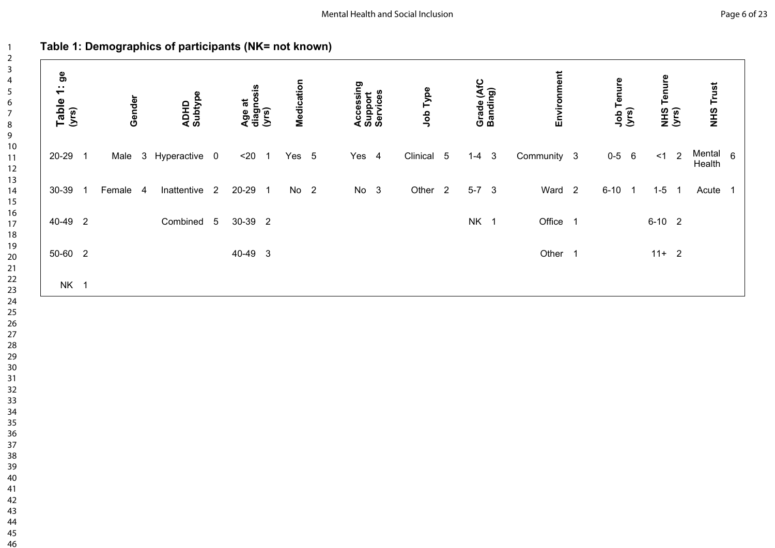# **Table 1: Demographics of participants (NK= not known)**

| Table 1: ge<br>(yrs) | Gender   | ADHD<br>Subtype | Age at<br>diagnosis<br>(yrs) |                            | Medication      | Accessing<br>Support<br>Services | Job Type           | Grade (AfC<br>Banding) |              | Environment        | Job Tenure<br>(yrs) |          | NHS Tenure<br>(yrs)      | <b>NHS Trust</b>              |  |
|----------------------|----------|-----------------|------------------------------|----------------------------|-----------------|----------------------------------|--------------------|------------------------|--------------|--------------------|---------------------|----------|--------------------------|-------------------------------|--|
| 20-29 1              | Male     | 3 Hyperactive 0 | $20$                         | $\overline{\phantom{0}}$ 1 | Yes 5           | Yes 4                            | Clinical 5         | $1 - 4$                | $\mathbf{3}$ | Community 3        | $0 - 5 6$           | < 1      | $\sqrt{2}$               | Mental <sub>6</sub><br>Health |  |
| 30-39 1              | Female 4 | Inattentive 2   | 20-29 1                      |                            | No <sub>2</sub> | No 3                             | Other <sub>2</sub> | $5-7$ 3                |              | Ward <sub>2</sub>  | $6-10$ 1            | $1 - 5$  | $\overline{\phantom{1}}$ | Acute 1                       |  |
| 40-49 2              |          | Combined 5      | 30-39 2                      |                            |                 |                                  |                    | NK 1                   |              | Office 1           |                     | $6-10$ 2 |                          |                               |  |
| 50-60 2              |          |                 | 40-49 3                      |                            |                 |                                  |                    |                        |              | Other <sub>1</sub> |                     | $11+ 2$  |                          |                               |  |
| NK 1                 |          |                 |                              |                            |                 |                                  |                    |                        |              |                    |                     |          |                          |                               |  |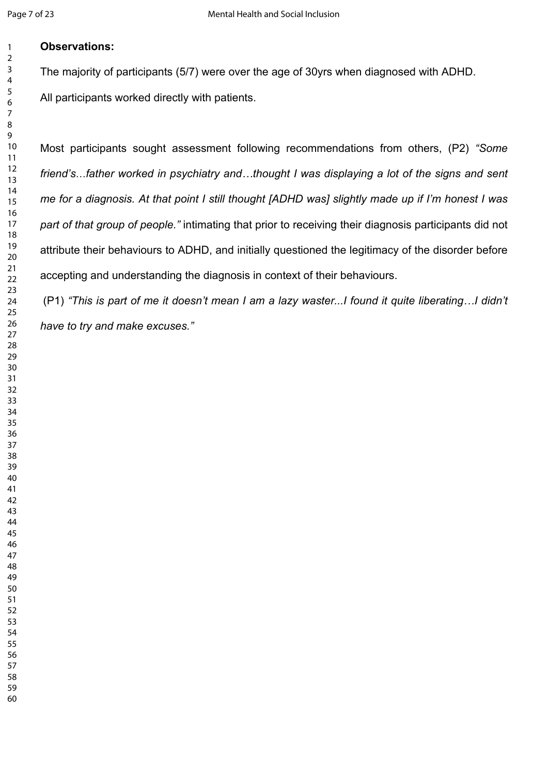### **Observations:**

The majority of participants (5/7) were over the age of 30yrs when diagnosed with ADHD. All participants worked directly with patients.

anticipants sought assessment following recommendations from others, (P2<br>
...father worked in psychiatry and ...thought I was displaying a lot of the signs<br>
a diagnosis. At that point I still thought [ADHD was] slightly ma Most participants sought assessment following recommendations from others, (P2) *"Some friend's*…*father worked in psychiatry and…thought I was displaying a lot of the signs and sent me for a diagnosis. At that point I still thought [ADHD was] slightly made up if I'm honest I was part of that group of people."* intimating that prior to receiving their diagnosis participants did not attribute their behaviours to ADHD, and initially questioned the legitimacy of the disorder before accepting and understanding the diagnosis in context of their behaviours.

 (P1) *"This is part of me it doesn't mean I am a lazy waster...I found it quite liberating…I didn't have to try and make excuses."*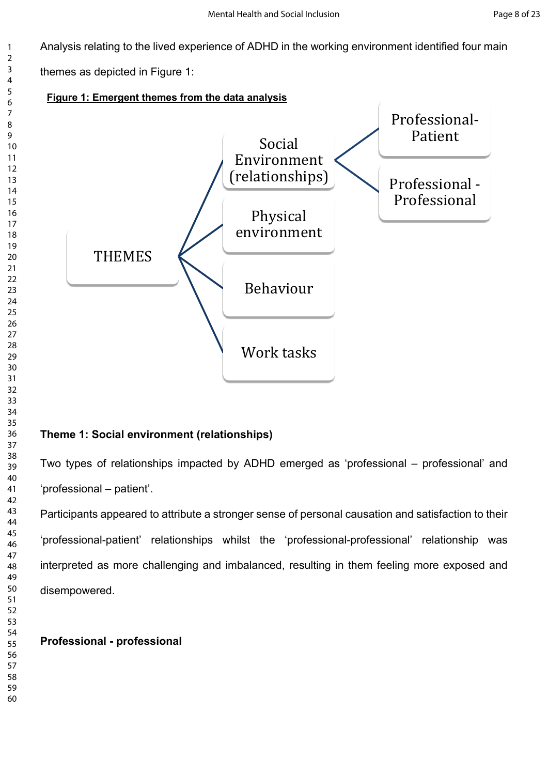Analysis relating to the lived experience of ADHD in the working environment identified four main

themes as depicted in Figure 1:



# **Theme 1: Social environment (relationships)**

Two types of relationships impacted by ADHD emerged as 'professional – professional' and 'professional – patient'.

Participants appeared to attribute a stronger sense of personal causation and satisfaction to their 'professional-patient' relationships whilst the 'professional-professional' relationship was interpreted as more challenging and imbalanced, resulting in them feeling more exposed and disempowered.

# **Professional - professional**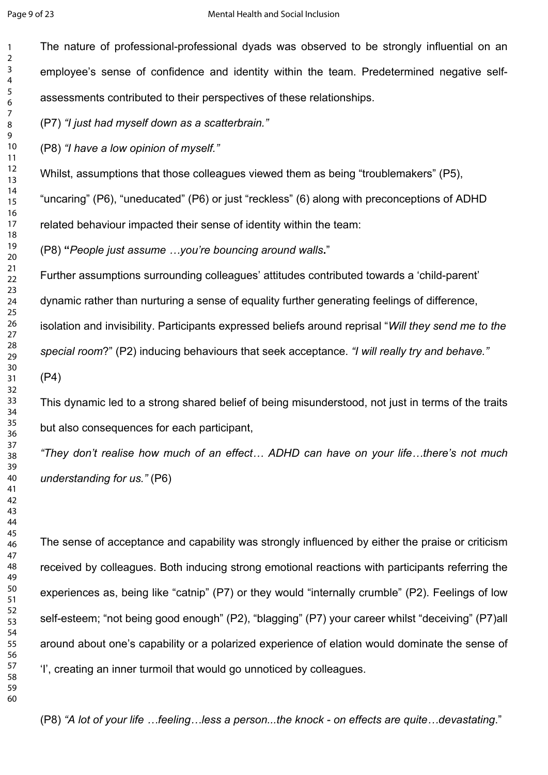The nature of professional-professional dyads was observed to be strongly influential on an employee's sense of confidence and identity within the team. Predetermined negative selfassessments contributed to their perspectives of these relationships.

(P7) *"I just had myself down as a scatterbrain."* 

(P8) *"I have a low opinion of myself."*

Whilst, assumptions that those colleagues viewed them as being "troublemakers" (P5),

"uncaring" (P6), "uneducated" (P6) or just "reckless" (6) along with preconceptions of ADHD

related behaviour impacted their sense of identity within the team:

(P8) **"***People just assume …you're bouncing around walls***.**"

ust had myself down as a scatterbrain."<br>
Have a low opinion of myself."<br>
Have a low opinion of myself."<br>
Assumptions that those colleagues viewed them as being "troublemakers" (P5),<br>
Ing" (P6), "uneducated" (P6) or just "r Further assumptions surrounding colleagues' attitudes contributed towards a 'child-parent' dynamic rather than nurturing a sense of equality further generating feelings of difference, isolation and invisibility. Participants expressed beliefs around reprisal "*Will they send me to the special room*?" (P2) inducing behaviours that seek acceptance. *"I will really try and behave."*

(P4)

This dynamic led to a strong shared belief of being misunderstood, not just in terms of the traits but also consequences for each participant,

*"They don't realise how much of an effect… ADHD can have on your life…there's not much understanding for us."* (P6)

The sense of acceptance and capability was strongly influenced by either the praise or criticism received by colleagues. Both inducing strong emotional reactions with participants referring the experiences as, being like "catnip" (P7) or they would "internally crumble" (P2). Feelings of low self-esteem; "not being good enough" (P2), "blagging" (P7) your career whilst "deceiving" (P7)all around about one's capability or a polarized experience of elation would dominate the sense of 'I', creating an inner turmoil that would go unnoticed by colleagues.

(P8) *"A lot of your life …feeling…less a person...the knock - on effects are quite…devastating*."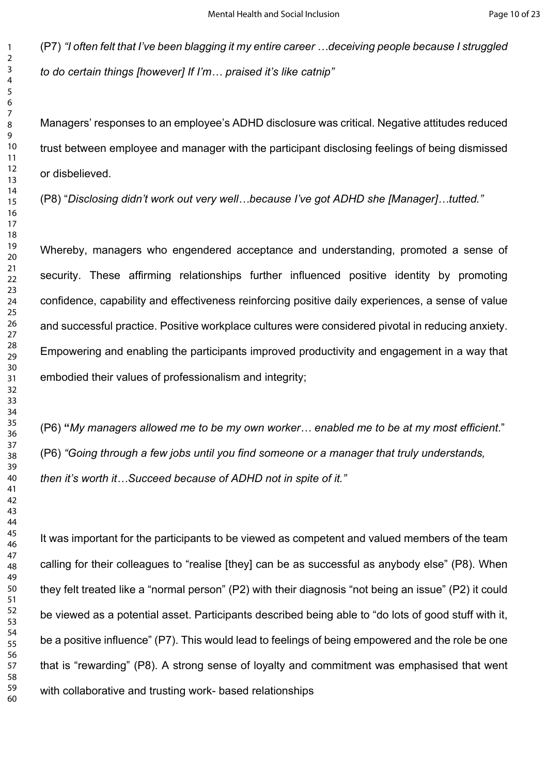(P7) *"I often felt that I've been blagging it my entire career …deceiving people because I struggled to do certain things [however] If I'm… praised it's like catnip"* 

Managers' responses to an employee's ADHD disclosure was critical. Negative attitudes reduced trust between employee and manager with the participant disclosing feelings of being dismissed or disbelieved.

(P8) "*Disclosing didn't work out very well…because I've got ADHD she [Manager]…tutted."*

ris' responses to an employee's ADHD disclosure was critical. Negative attitudes<br>tween employee and manager with the participant disclosing feelings of being clieved.<br>Sociosing didn't work out very well...because I've got Whereby, managers who engendered acceptance and understanding, promoted a sense of security. These affirming relationships further influenced positive identity by promoting confidence, capability and effectiveness reinforcing positive daily experiences, a sense of value and successful practice. Positive workplace cultures were considered pivotal in reducing anxiety. Empowering and enabling the participants improved productivity and engagement in a way that embodied their values of professionalism and integrity;

(P6) **"***My managers allowed me to be my own worker… enabled me to be at my most efficient*." (P6) *"Going through a few jobs until you find someone or a manager that truly understands, then it's worth it…Succeed because of ADHD not in spite of it."*

It was important for the participants to be viewed as competent and valued members of the team calling for their colleagues to "realise [they] can be as successful as anybody else" (P8). When they felt treated like a "normal person" (P2) with their diagnosis "not being an issue" (P2) it could be viewed as a potential asset. Participants described being able to "do lots of good stuff with it, be a positive influence" (P7). This would lead to feelings of being empowered and the role be one that is "rewarding" (P8). A strong sense of loyalty and commitment was emphasised that went with collaborative and trusting work- based relationships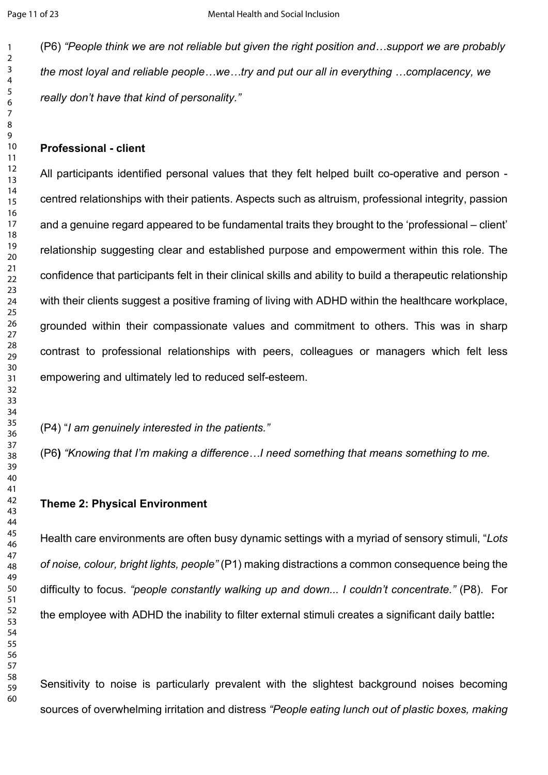(P6) *"People think we are not reliable but given the right position and…support we are probably the most loyal and reliable people…we…try and put our all in everything …complacency, we really don't have that kind of personality."*

#### **Professional - client**

sional - client<br>
cipants identified personal values that they felt helped built co-operative and<br>
relationships with their patients. Aspects such as altruism, professional integrity<br>
enuine regard appeared to be fundamenta All participants identified personal values that they felt helped built co-operative and person centred relationships with their patients. Aspects such as altruism, professional integrity, passion and a genuine regard appeared to be fundamental traits they brought to the 'professional – client' relationship suggesting clear and established purpose and empowerment within this role. The confidence that participants felt in their clinical skills and ability to build a therapeutic relationship with their clients suggest a positive framing of living with ADHD within the healthcare workplace, grounded within their compassionate values and commitment to others. This was in sharp contrast to professional relationships with peers, colleagues or managers which felt less empowering and ultimately led to reduced self-esteem.

(P4) "*I am genuinely interested in the patients."*

(P6**)** *"Knowing that I'm making a difference…I need something that means something to me.* 

#### **Theme 2: Physical Environment**

Health care environments are often busy dynamic settings with a myriad of sensory stimuli, "*Lots of noise, colour, bright lights, people"* (P1) making distractions a common consequence being the difficulty to focus. *"people constantly walking up and down... I couldn't concentrate."* (P8). For the employee with ADHD the inability to filter external stimuli creates a significant daily battle**:**

Sensitivity to noise is particularly prevalent with the slightest background noises becoming sources of overwhelming irritation and distress *"People eating lunch out of plastic boxes, making*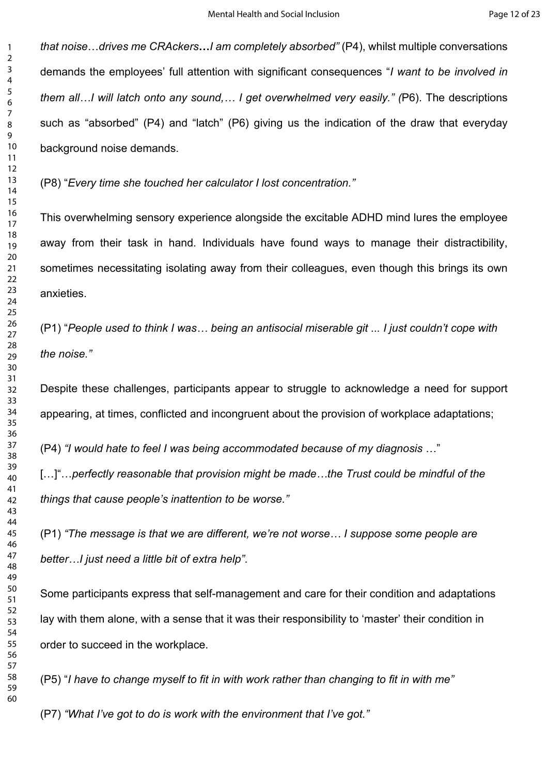*that noise*…*drives me CRAckers***…***I am completely absorbed"* (P4), whilst multiple conversations demands the employees' full attention with significant consequences "*I want to be involved in them all…I will latch onto any sound,… I get overwhelmed very easily." (*P6). The descriptions such as "absorbed" (P4) and "latch" (P6) giving us the indication of the draw that everyday background noise demands.

(P8) "*Every time she touched her calculator I lost concentration."*

Caustical Team and Translation of the draw that<br>
"absorbed" (P4) and "latch" (P6) giving us the indication of the draw that<br>
word noise demands.<br>
Nery time she touched her calculator I lost concentration."<br>
Herewhelming se This overwhelming sensory experience alongside the excitable ADHD mind lures the employee away from their task in hand. Individuals have found ways to manage their distractibility, sometimes necessitating isolating away from their colleagues, even though this brings its own anxieties.

(P1) "*People used to think I was… being an antisocial miserable git ... I just couldn't cope with the noise."*

Despite these challenges, participants appear to struggle to acknowledge a need for support appearing, at times, conflicted and incongruent about the provision of workplace adaptations;

(P4) *"I would hate to feel I was being accommodated because of my diagnosis* …"

[...]"...perfectly reasonable that provision might be made...the Trust could be mindful of the *things that cause people's inattention to be worse."*

(P1) *"The message is that we are different, we're not worse… I suppose some people are better…I just need a little bit of extra help"*.

Some participants express that self-management and care for their condition and adaptations lay with them alone, with a sense that it was their responsibility to 'master' their condition in order to succeed in the workplace.

(P5) "*I have to change myself to fit in with work rather than changing to fit in with me"*

(P7) *"What I've got to do is work with the environment that I've got."*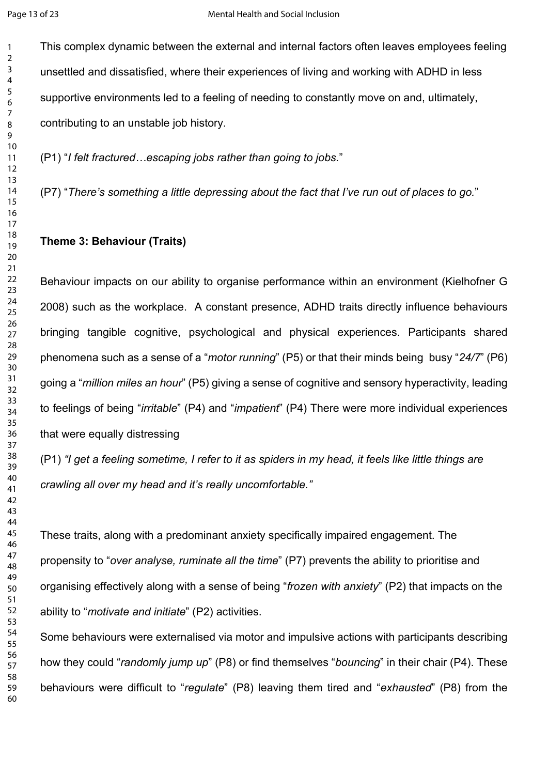This complex dynamic between the external and internal factors often leaves employees feeling unsettled and dissatisfied, where their experiences of living and working with ADHD in less supportive environments led to a feeling of needing to constantly move on and, ultimately, contributing to an unstable job history.

(P1) "*I felt fractured…escaping jobs rather than going to jobs.*"

(P7) "*There's something a little depressing about the fact that I've run out of places to go.*"

### **Theme 3: Behaviour (Traits)**

ting to an unstable job history.<br>
Self fractured ...escaping jobs rather than going to jobs."<br>
Here's something a little depressing about the fact that I've run out of places to g<br>
3: Behaviour (Traits)<br>
Sure impacts on ou Behaviour impacts on our ability to organise performance within an environment (Kielhofner G 2008) such as the workplace. A constant presence, ADHD traits directly influence behaviours bringing tangible cognitive, psychological and physical experiences. Participants shared phenomena such as a sense of a "*motor running*" (P5) or that their minds being busy "*24/7*" (P6) going a "*million miles an hour*" (P5) giving a sense of cognitive and sensory hyperactivity, leading to feelings of being "*irritable*" (P4) and "*impatient*" (P4) There were more individual experiences that were equally distressing

(P1) *"I get a feeling sometime, I refer to it as spiders in my head, it feels like little things are crawling all over my head and it's really uncomfortable."*

These traits, along with a predominant anxiety specifically impaired engagement. The propensity to "*over analyse, ruminate all the time*" (P7) prevents the ability to prioritise and organising effectively along with a sense of being "*frozen with anxiety*" (P2) that impacts on the ability to "*motivate and initiate*" (P2) activities.

Some behaviours were externalised via motor and impulsive actions with participants describing how they could "*randomly jump up*" (P8) or find themselves "*bouncing*" in their chair (P4). These behaviours were difficult to "*regulate*" (P8) leaving them tired and "*exhausted*" (P8) from the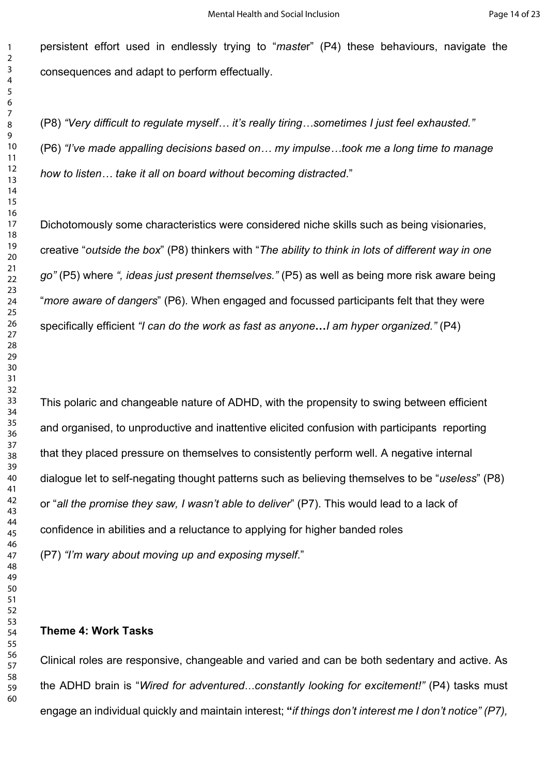persistent effort used in endlessly trying to "*maste*r" (P4) these behaviours, navigate the consequences and adapt to perform effectually.

(P8) *"Very difficult to regulate myself… it's really tiring…sometimes I just feel exhausted."* (P6) *"I've made appalling decisions based on… my impulse…took me a long time to manage how to listen… take it all on board without becoming distracted*."

Dichotomously some characteristics were considered niche skills such as being visionaries, creative "*outside the box*" (P8) thinkers with "*The ability to think in lots of different way in one go"* (P5) where *", ideas just present themselves."* (P5) as well as being more risk aware being "*more aware of dangers*" (P6). When engaged and focussed participants felt that they were specifically efficient *"I can do the work as fast as anyone***…***I am hyper organized."* (P4)

ery difficult to regulate myself... It's really tiring...sometimes I just feel exhauste<br>
e made appalling decisions based on... my impulse...took me a long time to m<br>
listen... take it all on board without becoming distrac This polaric and changeable nature of ADHD, with the propensity to swing between efficient and organised, to unproductive and inattentive elicited confusion with participants reporting that they placed pressure on themselves to consistently perform well. A negative internal dialogue let to self-negating thought patterns such as believing themselves to be "*useless*" (P8) or "*all the promise they saw, I wasn't able to deliver*" (P7). This would lead to a lack of confidence in abilities and a reluctance to applying for higher banded roles (P7) *"I'm wary about moving up and exposing myself*."

#### **Theme 4: Work Tasks**

Clinical roles are responsive, changeable and varied and can be both sedentary and active. As the ADHD brain is "*Wired for adventured*…*constantly looking for excitement!"* (P4) tasks must engage an individual quickly and maintain interest; **"***if things don't interest me I don't notice" (P7),*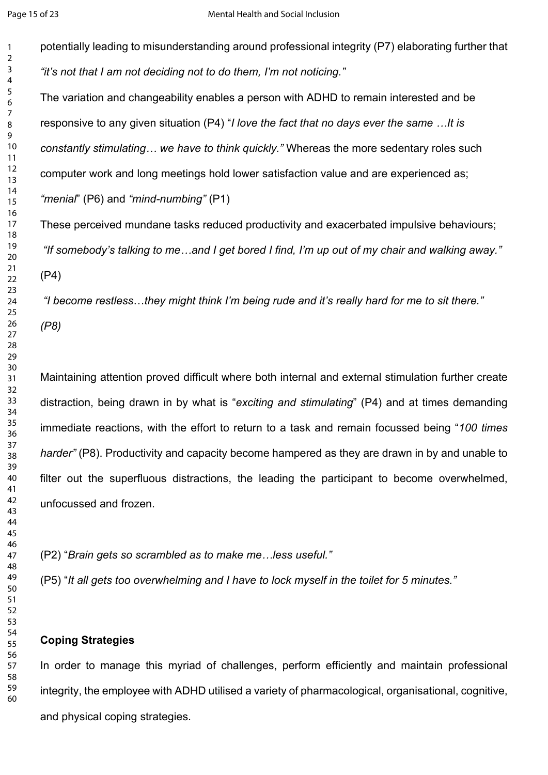potentially leading to misunderstanding around professional integrity (P7) elaborating further that *"it's not that I am not deciding not to do them, I'm not noticing."*  The variation and changeability enables a person with ADHD to remain interested and be responsive to any given situation (P4) "*I love the fact that no days ever the same …It is* 

*constantly stimulating… we have to think quickly."* Whereas the more sedentary roles such

computer work and long meetings hold lower satisfaction value and are experienced as;

*"menial*" (P6) and *"mind-numbing"* (P1)

These perceived mundane tasks reduced productivity and exacerbated impulsive behaviours; *"If somebody's talking to me…and I get bored I find, I'm up out of my chair and walking away."* (P4)

*"I become restless*…*they might think I'm being rude and it's really hard for me to sit there." (P8)* 

ive to any given situation (P4) "*I* love the fact that no days ever the same ...It is<br>thy stimulating... we have to think quickly." Whereas the more sedentary roles se<br>r work and long meetings hold lower satisfaction valu Maintaining attention proved difficult where both internal and external stimulation further create distraction, being drawn in by what is "*exciting and stimulating*" (P4) and at times demanding immediate reactions, with the effort to return to a task and remain focussed being "*100 times harder"* (P8). Productivity and capacity become hampered as they are drawn in by and unable to filter out the superfluous distractions, the leading the participant to become overwhelmed, unfocussed and frozen.

(P2) "*Brain gets so scrambled as to make me…less useful."*

(P5) "*It all gets too overwhelming and I have to lock myself in the toilet for 5 minutes."* 

## **Coping Strategies**

In order to manage this myriad of challenges, perform efficiently and maintain professional integrity, the employee with ADHD utilised a variety of pharmacological, organisational, cognitive, and physical coping strategies.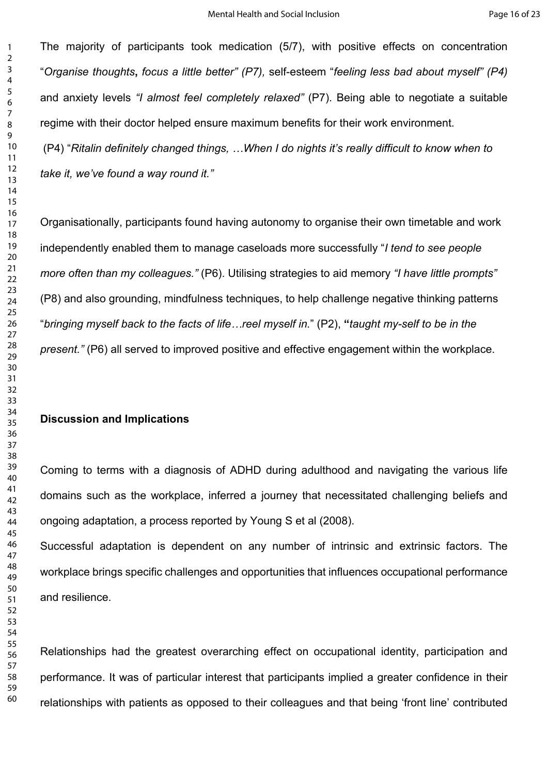The majority of participants took medication (5/7), with positive effects on concentration "*Organise thoughts***,** *focus a little better" (P7),* self-esteem "*feeling less bad about myself" (P4)*  and anxiety levels *"I almost feel completely relaxed"* (P7). Being able to negotiate a suitable regime with their doctor helped ensure maximum benefits for their work environment. (P4) "*Ritalin definitely changed things, …When I do nights it's really difficult to know when to take it, we've found a way round it."*

with their doctor helped ensure maximum benefits for their work environment.<br>
Etatin definitely changed things, ...When I do nights it's really difficult to know we<br>
we've found a way round it."<br>
ationally, participants fo Organisationally, participants found having autonomy to organise their own timetable and work independently enabled them to manage caseloads more successfully "*I tend to see people more often than my colleagues."* (P6). Utilising strategies to aid memory *"I have little prompts"*  (P8) and also grounding, mindfulness techniques, to help challenge negative thinking patterns "*bringing myself back to the facts of life…reel myself in.*" (P2), **"***taught my-self to be in the present."* (P6) all served to improved positive and effective engagement within the workplace.

#### **Discussion and Implications**

Coming to terms with a diagnosis of ADHD during adulthood and navigating the various life domains such as the workplace, inferred a journey that necessitated challenging beliefs and ongoing adaptation, a process reported by Young S et al (2008).

Successful adaptation is dependent on any number of intrinsic and extrinsic factors. The workplace brings specific challenges and opportunities that influences occupational performance and resilience.

Relationships had the greatest overarching effect on occupational identity, participation and performance. It was of particular interest that participants implied a greater confidence in their relationships with patients as opposed to their colleagues and that being 'front line' contributed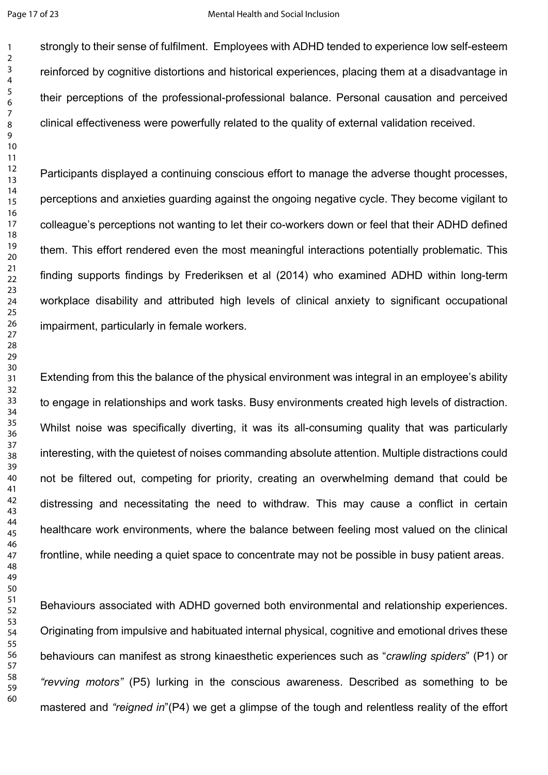strongly to their sense of fulfilment. Employees with ADHD tended to experience low self-esteem reinforced by cognitive distortions and historical experiences, placing them at a disadvantage in their perceptions of the professional-professional balance. Personal causation and perceived clinical effectiveness were powerfully related to the quality of external validation received.

Participants displayed a continuing conscious effort to manage the adverse thought processes, perceptions and anxieties guarding against the ongoing negative cycle. They become vigilant to colleague's perceptions not wanting to let their co-workers down or feel that their ADHD defined them. This effort rendered even the most meaningful interactions potentially problematic. This finding supports findings by Frederiksen et al (2014) who examined ADHD within long-term workplace disability and attributed high levels of clinical anxiety to significant occupational impairment, particularly in female workers.

effectiveness were powerfully related to the quality of external validation receive<br>ants displayed a continuing conscious effort to manage the adverse thought prions and anxieties guarding against the ongoing negative cycl Extending from this the balance of the physical environment was integral in an employee's ability to engage in relationships and work tasks. Busy environments created high levels of distraction. Whilst noise was specifically diverting, it was its all-consuming quality that was particularly interesting, with the quietest of noises commanding absolute attention. Multiple distractions could not be filtered out, competing for priority, creating an overwhelming demand that could be distressing and necessitating the need to withdraw. This may cause a conflict in certain healthcare work environments, where the balance between feeling most valued on the clinical frontline, while needing a quiet space to concentrate may not be possible in busy patient areas.

Behaviours associated with ADHD governed both environmental and relationship experiences. Originating from impulsive and habituated internal physical, cognitive and emotional drives these behaviours can manifest as strong kinaesthetic experiences such as "*crawling spiders*" (P1) or *"revving motors"* (P5) lurking in the conscious awareness. Described as something to be mastered and *"reigned in*"(P4) we get a glimpse of the tough and relentless reality of the effort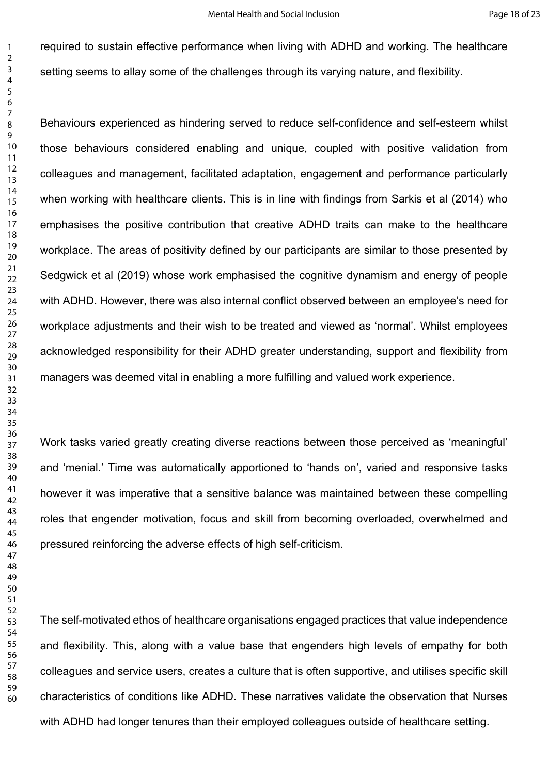required to sustain effective performance when living with ADHD and working. The healthcare setting seems to allay some of the challenges through its varying nature, and flexibility.

ours experienced as hindering served to reduce self-confidence and self-seterehaviours considered enabling and unique, coupled with positive validaties and management, facilitated adaptation, engagement and performance per Behaviours experienced as hindering served to reduce self-confidence and self-esteem whilst those behaviours considered enabling and unique, coupled with positive validation from colleagues and management, facilitated adaptation, engagement and performance particularly when working with healthcare clients. This is in line with findings from Sarkis et al (2014) who emphasises the positive contribution that creative ADHD traits can make to the healthcare workplace. The areas of positivity defined by our participants are similar to those presented by Sedgwick et al (2019) whose work emphasised the cognitive dynamism and energy of people with ADHD. However, there was also internal conflict observed between an employee's need for workplace adjustments and their wish to be treated and viewed as 'normal'. Whilst employees acknowledged responsibility for their ADHD greater understanding, support and flexibility from managers was deemed vital in enabling a more fulfilling and valued work experience.

Work tasks varied greatly creating diverse reactions between those perceived as 'meaningful' and 'menial.' Time was automatically apportioned to 'hands on', varied and responsive tasks however it was imperative that a sensitive balance was maintained between these compelling roles that engender motivation, focus and skill from becoming overloaded, overwhelmed and pressured reinforcing the adverse effects of high self-criticism.

The self-motivated ethos of healthcare organisations engaged practices that value independence and flexibility. This, along with a value base that engenders high levels of empathy for both colleagues and service users, creates a culture that is often supportive, and utilises specific skill characteristics of conditions like ADHD. These narratives validate the observation that Nurses with ADHD had longer tenures than their employed colleagues outside of healthcare setting.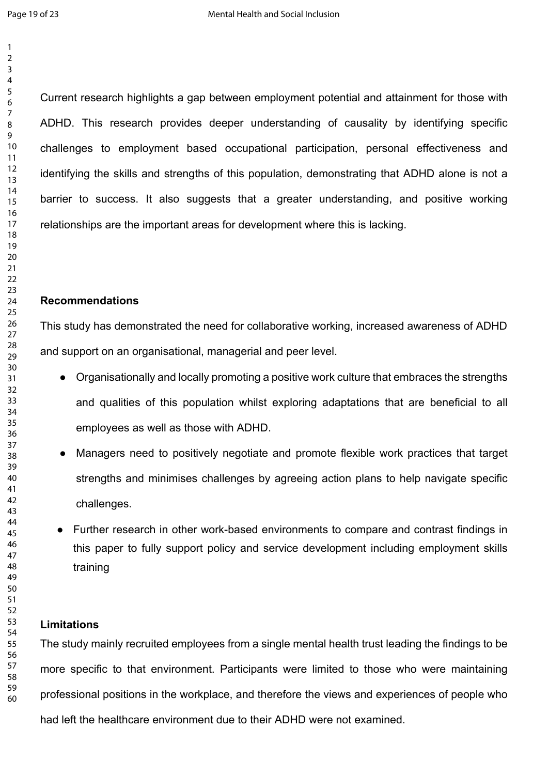This research provides deeper understanding of causality by identifying<br>ges to employment based occupational participation, personal effectiven<br>mg the skills and strengths of this population, demonstrating that ADHD alone<br> Current research highlights a gap between employment potential and attainment for those with ADHD. This research provides deeper understanding of causality by identifying specific challenges to employment based occupational participation, personal effectiveness and identifying the skills and strengths of this population, demonstrating that ADHD alone is not a barrier to success. It also suggests that a greater understanding, and positive working relationships are the important areas for development where this is lacking.

#### **Recommendations**

This study has demonstrated the need for collaborative working, increased awareness of ADHD and support on an organisational, managerial and peer level.

- Organisationally and locally promoting a positive work culture that embraces the strengths and qualities of this population whilst exploring adaptations that are beneficial to all employees as well as those with ADHD.
- Managers need to positively negotiate and promote flexible work practices that target strengths and minimises challenges by agreeing action plans to help navigate specific challenges.
- Further research in other work-based environments to compare and contrast findings in this paper to fully support policy and service development including employment skills training

#### **Limitations**

The study mainly recruited employees from a single mental health trust leading the findings to be more specific to that environment. Participants were limited to those who were maintaining professional positions in the workplace, and therefore the views and experiences of people who had left the healthcare environment due to their ADHD were not examined.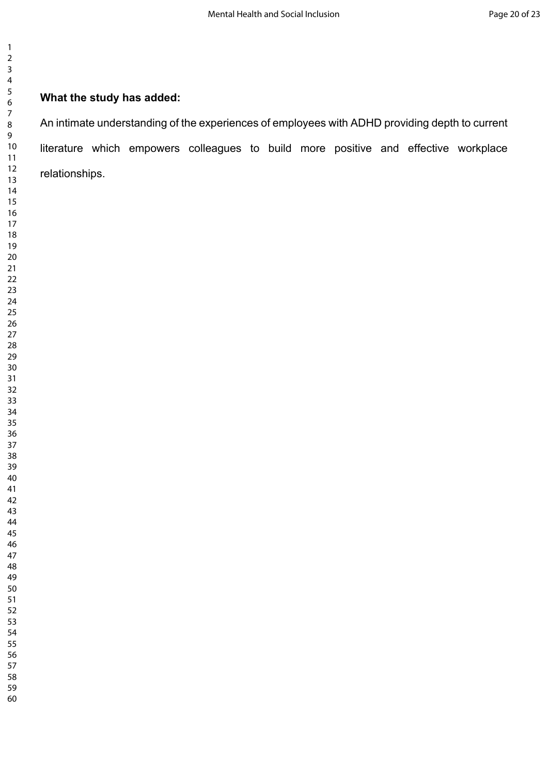# **What the study has added:**

iate understanding of the experiences of employees with ADHD providing depth to which empowers colleagues to build more positive and effective v<br>ships.<br>Ships. An intimate understanding of the experiences of employees with ADHD providing depth to current literature which empowers colleagues to build more positive and effective workplace relationships.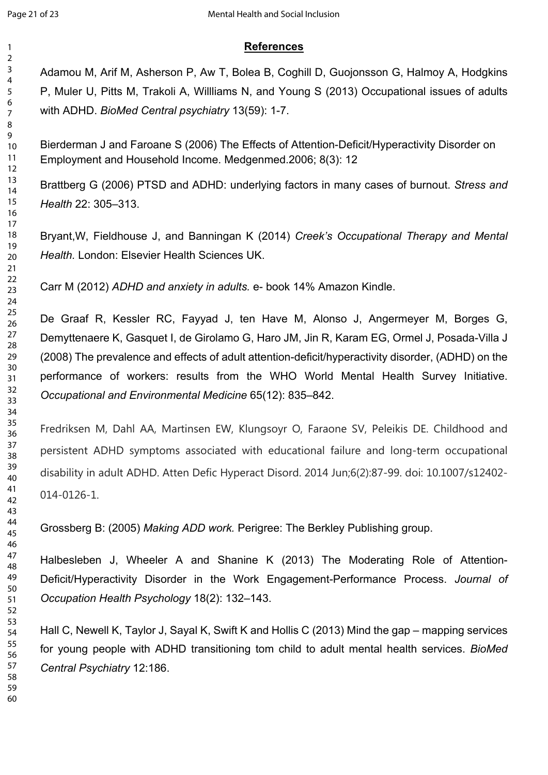# **References**

Adamou M, Arif M, Asherson P, Aw T, Bolea B, Coghill D, Guojonsson G, Halmoy A, Hodgkins P, Muler U, Pitts M, Trakoli A, Willliams N, and Young S (2013) Occupational issues of adults with ADHD. *BioMed Central psychiatry* 13(59): 1-7.

Bierderman J and Faroane S (2006) The Effects of Attention-Deficit/Hyperactivity Disorder on Employment and Household Income. Medgenmed.2006; 8(3): 12

Brattberg G (2006) PTSD and ADHD: underlying factors in many cases of burnout. *Stress and Health* 22: 305–313.

Bryant,W, Fieldhouse J, and Banningan K (2014) *Creek's Occupational Therapy and Mental Health.* London: Elsevier Health Sciences UK.

Carr M (2012) *ADHD and anxiety in adults.* e- book 14% Amazon Kindle.

man J and Faroane S (2006) The Effects of Attention-Deficit/Hyperactivity Disor<br>ment and Household Income. Medgenmed 2006; 8(3): 12<br>
g G (2006) PTSD and ADHD: underlying factors in many cases of burnout. S:<br>
22: 305–313.<br> De Graaf R, Kessler RC, Fayyad J, ten Have M, Alonso J, Angermeyer M, Borges G, Demyttenaere K, Gasquet I, de Girolamo G, Haro JM, Jin R, Karam EG, Ormel J, Posada-Villa J (2008) The prevalence and effects of adult attention-deficit/hyperactivity disorder, (ADHD) on the performance of workers: results from the WHO World Mental Health Survey Initiative. *Occupational and Environmental Medicine* 65(12): 835–842.

Fredriksen M, Dahl AA, Martinsen EW, Klungsoyr O, Faraone SV, Peleikis DE. Childhood and persistent ADHD symptoms associated with educational failure and long-term occupational disability in adult ADHD. Atten Defic Hyperact Disord. 2014 Jun;6(2):87-99. doi: 10.1007/s12402- 014-0126-1.

Grossberg B: (2005) *Making ADD work.* Perigree: The Berkley Publishing group.

Halbesleben J, Wheeler A and Shanine K (2013) The Moderating Role of Attention-Deficit/Hyperactivity Disorder in the Work Engagement-Performance Process. *Journal of Occupation Health Psychology* 18(2): 132–143.

Hall C, Newell K, Taylor J, Sayal K, Swift K and Hollis C (2013) Mind the gap – mapping services for young people with ADHD transitioning tom child to adult mental health services. *BioMed Central Psychiatry* 12:186.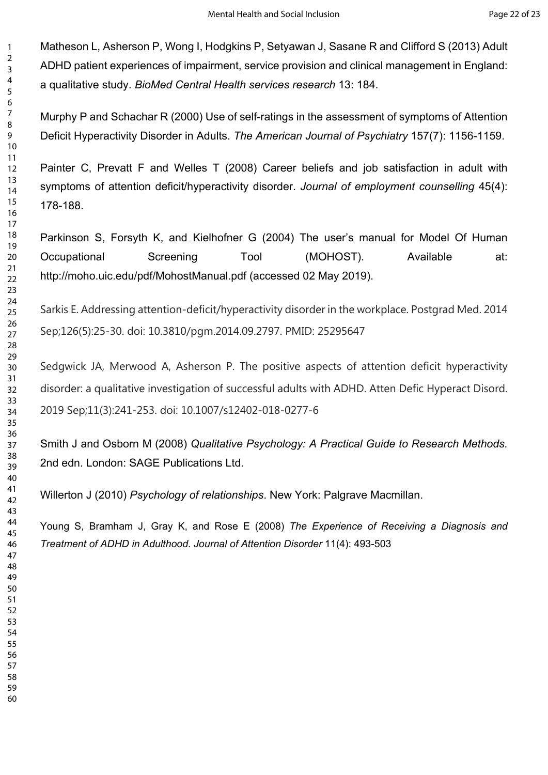Matheson L, Asherson P, Wong I, Hodgkins P, Setyawan J, Sasane R and Clifford S (2013) Adult ADHD patient experiences of impairment, service provision and clinical management in England: a qualitative study. *BioMed Central Health services research* 13: 184.

Murphy P and Schachar R (2000) Use of self-ratings in the assessment of symptoms of Attention Deficit Hyperactivity Disorder in Adults. *The American Journal of Psychiatry* 157(7): 1156-1159.

Painter C, Prevatt F and Welles T (2008) Career beliefs and job satisfaction in adult with symptoms of attention deficit/hyperactivity disorder. *Journal of employment counselling* 45(4): 178-188.

Parkinson S, Forsyth K, and Kielhofner G (2004) The user's manual for Model Of Human Occupational Screening Tool (MOHOST). Available at: http://moho.uic.edu/pdf/MohostManual.pdf (accessed 02 May 2019).

Sarkis E. Addressing attention-deficit/hyperactivity disorder in the workplace. Postgrad Med. 2014 Sep;126(5):25-30. doi: 10.3810/pgm.2014.09.2797. PMID: 25295647

Panu Schachair R (2000) Ose of sein-languy in the assessment of symponio to symponio to symponio to symponio to typeractivity Disorder in Adults. The American Journal of Psychiatry 157(7): 11:<br>C, Prevatt F and Welles T (20 Sedgwick JA, Merwood A, Asherson P. The positive aspects of attention deficit hyperactivity disorder: a qualitative investigation of successful adults with ADHD. Atten Defic Hyperact Disord. 2019 Sep;11(3):241-253. doi: 10.1007/s12402-018-0277-6

Smith J and Osborn M (2008) *Qualitative Psychology: A Practical Guide to Research Methods.* 2nd edn. London: SAGE Publications Ltd.

Willerton J (2010) *Psychology of relationships*. New York: Palgrave Macmillan.

Young S, Bramham J, Gray K, and Rose E (2008) *The Experience of Receiving a Diagnosis and Treatment of ADHD in Adulthood. Journal of Attention Disorder* 11(4): 493-503